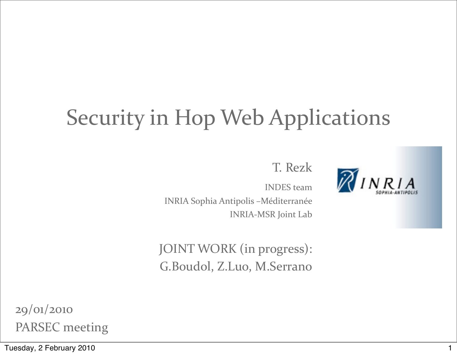### Security in Hop Web Applications

T. Rezk

**INDES** team INRIA Sophia Antipolis -Méditerranée INRIA-MSR Joint Lab

JOINT WORK (in progress): G.Boudol, Z.Luo, M.Serrano

29/01/2010 PARSEC meeting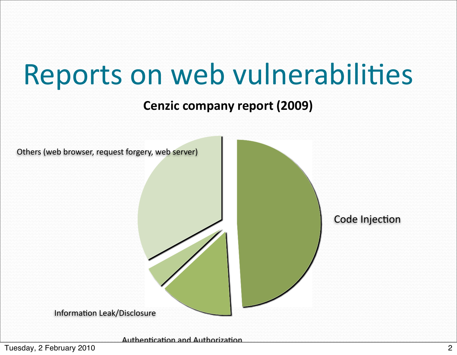## Reports on web vulnerabilities

#### Cenzic company report (2009)



Authentication and Authorization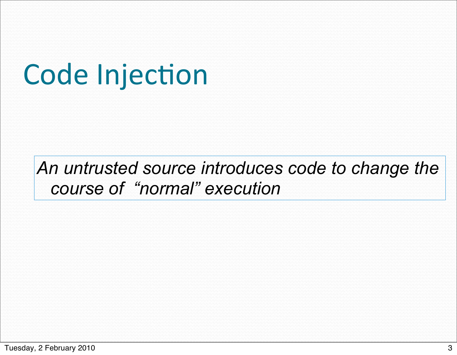## **Code Injection**

### *An untrusted source introduces code to change the course of "normal" execution*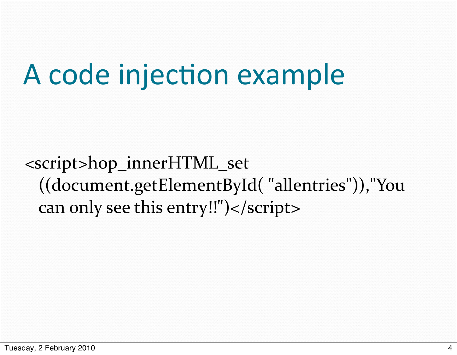<script>hop\_innerHTML\_set ((document.getElementById()"allentries")),"You) can only see this entry!!")</script>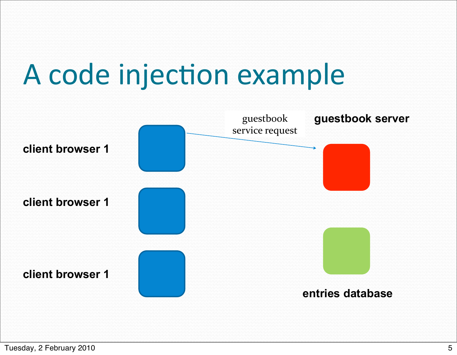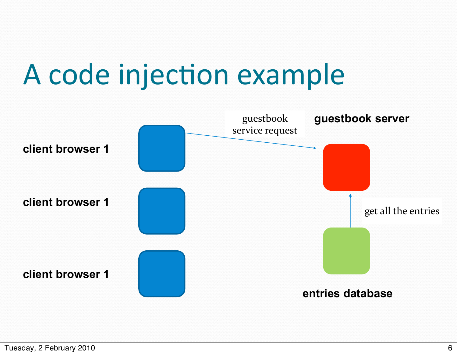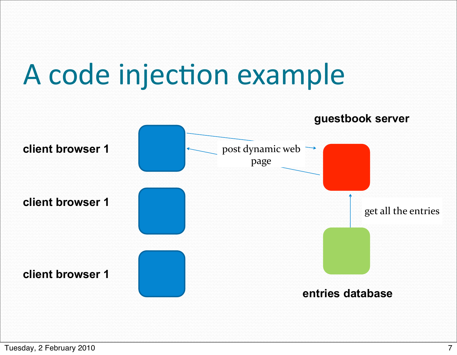

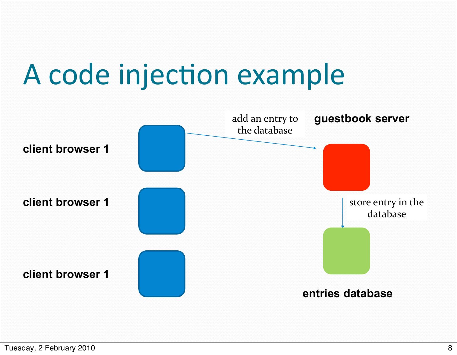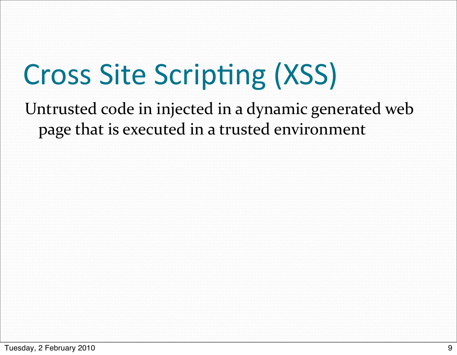## Cross Site Scripting (XSS)

Untrusted code in injected in a dynamic generated web page that is executed in a trusted environment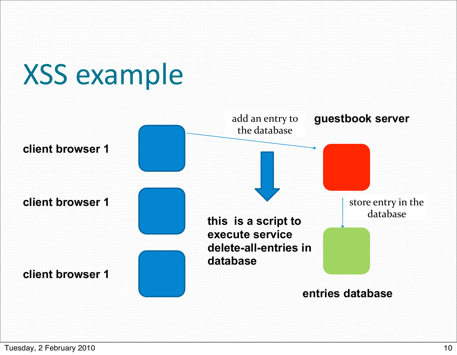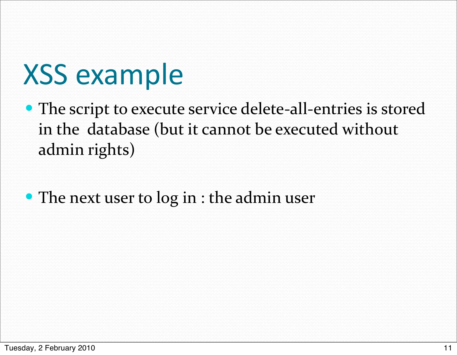## **XSS** example

- The script to execute service delete-all-entries is stored in the database (but it cannot be executed without admin rights)
- $\bullet$  The next user to log in : the admin user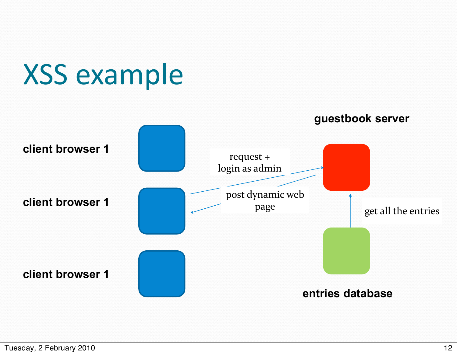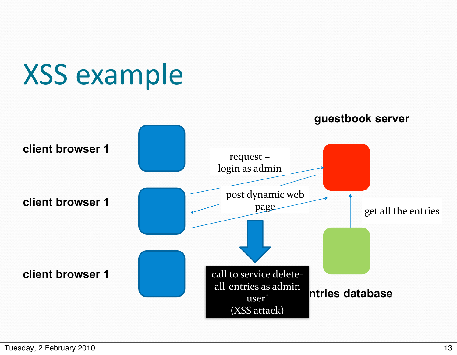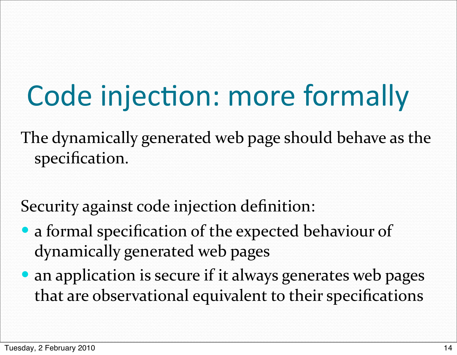## Code injection: more formally

The dynamically generated web page should behave as the specification.

Security against code injection definition:

- a formal specification of the expected behaviour of dynamically generated web pages
- an application is secure if it always generates web pages that are observational equivalent to their specifications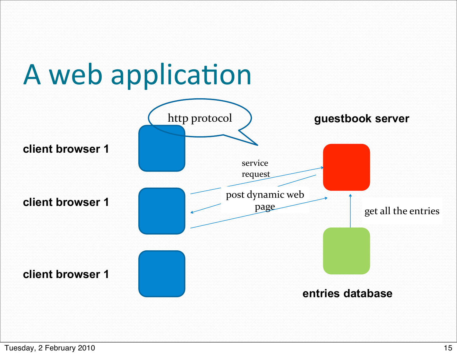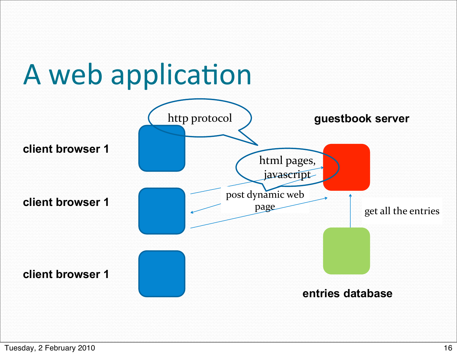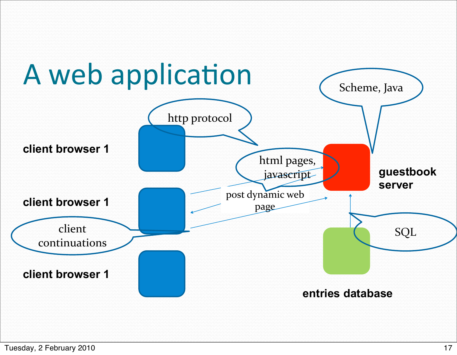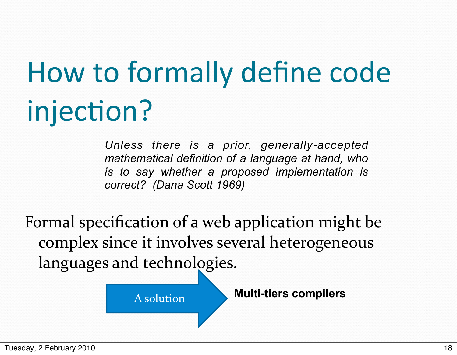# How to formally define code injection?

*Unless there is a prior, generally-accepted mathematical definition of a language at hand, who is to say whether a proposed implementation is correct? (Dana Scott 1969)*

Formal specification of a web application might be complex since it involves several heterogeneous languages and technologies.

A)solution **Multi-tiers compilers**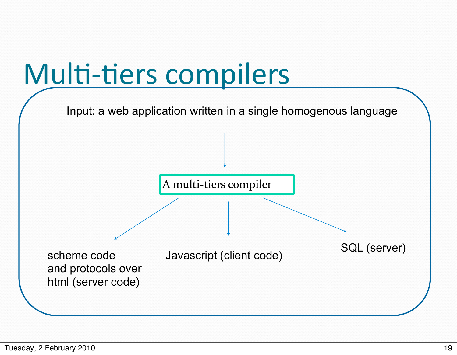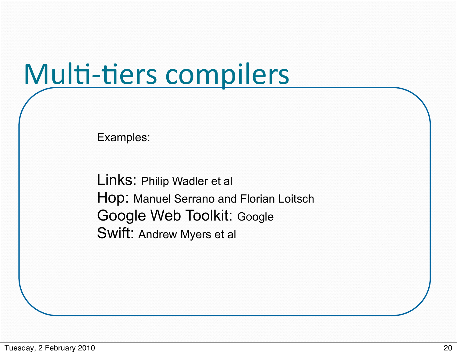## Multi-tiers compilers

Examples:

Links: Philip Wadler et al Hop: Manuel Serrano and Florian Loitsch Google Web Toolkit: Google Swift: Andrew Myers et al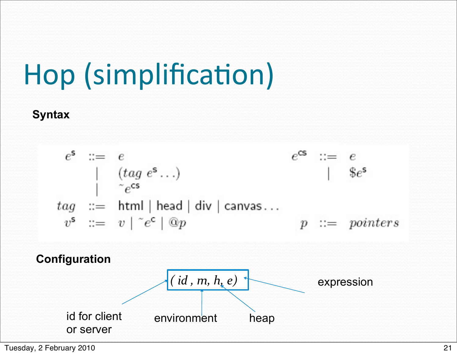# Hop (simplification)

#### **Syntax**

$$
e^s ::= e
$$
  
\n
$$
\begin{array}{rcl}\n & e^s ::= e \\
& \mid & (tag \ e^s \dots) \\
& \mid & e^{cs} \\
& \mid & \text{se}^s\n \end{array}
$$
\n
$$
tag \ ::= \text{html} \ | \text{ head} \ | \text{ div} \ | \text{ canvas} \dots
$$
\n
$$
v^s ::= v \ | \ e^c \ | \text{ Q}p
$$
\nConfiguration

\n(id, m, h, e)

\nexpression

\nid for client environment

\nheap

\nor server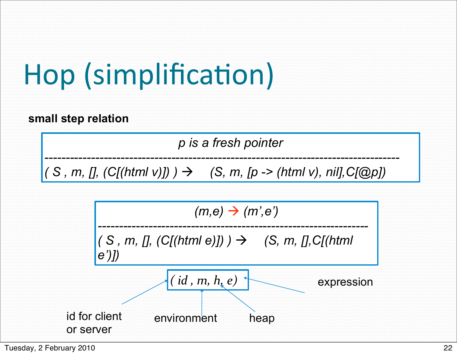# Hop (simplification)

**small step relation**

*p is a fresh pointer*

*------------------------------------------------------------------------------------*  $(S, m, []$ ,  $(C[(html v)])$   $\rightarrow$   $(S, m, [p -\geq (html v), nil], C[@p])$ 

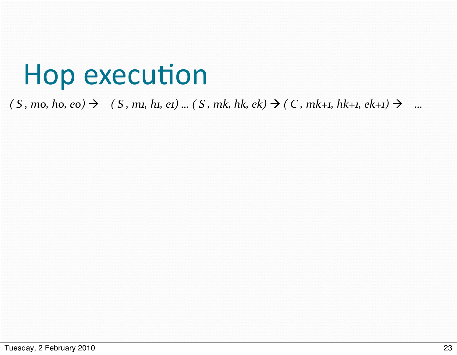### Hop execution

#### $(S, m0, ho, eo) \rightarrow (S, m1, hu, ei)...(S, mk, hk, ek) \rightarrow (C, mk+1, hk+1, ek+1) \rightarrow ...$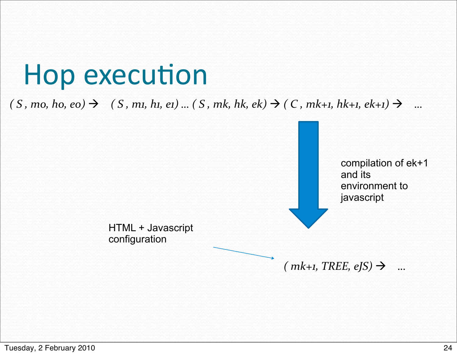### Hop execution

 $(S, m0, ho, eo) \rightarrow (S, m1, hu, ei)...(S, mk, hk, ek) \rightarrow (C, mk+1, hk+1, ek+1) \rightarrow ...$ 

compilation of ek+1 and its environment to javascript

HTML + Javascript configuration

 $(mk+1, TREE, eJS) \rightarrow ...$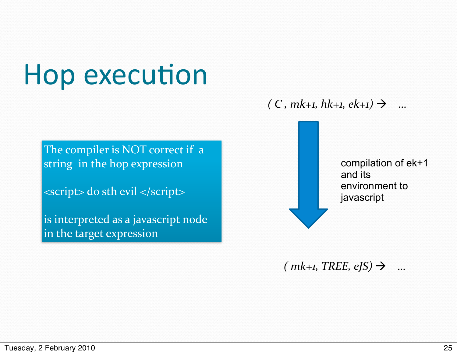## Hop execution

 $(C, mk+1, kk+1, ek+1) \rightarrow ...$ 

The compiler is NOT correct if  $a$ string in the hop expression

<script> do sth evil </script>

is interpreted as a javascript node in the target expression

compilation of ek+1 and its environment to javascript

 $(mk+1, TREE, eJS) \rightarrow ...$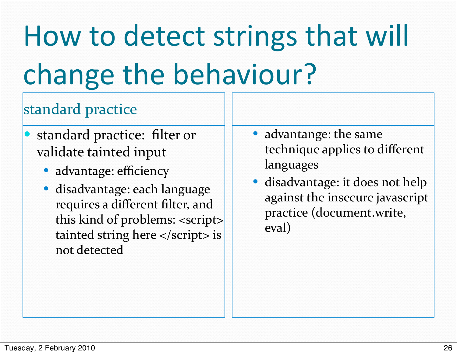# How to detect strings that will change the behaviour?

### standard practice

- standard practice: filter or validate tainted input
	- advantage: efficiency
	- disadvantage: each language requires a different filter, and this kind of problems: <script> tainted string here  $\langle$  script $>$  is not detected
- advantange: the same technique applies to different languages#
- disadvantage: it does not help against the insecure javascript practice (document.write, eval)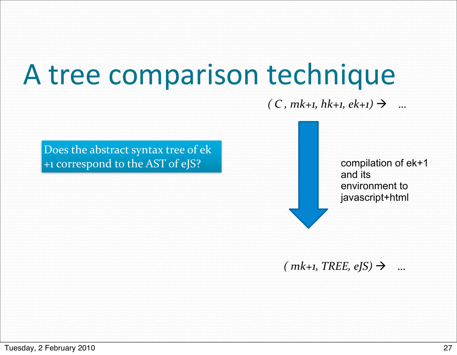## A tree comparison technique

#### $(C, mk+1, kk+1, ek+1) \rightarrow ...$

Does the abstract syntax tree of ek +1 correspond to the AST of eJS?

compilation of ek+1 and its environment to javascript+html

 $(mk+1, TREE, eJS) \rightarrow ...$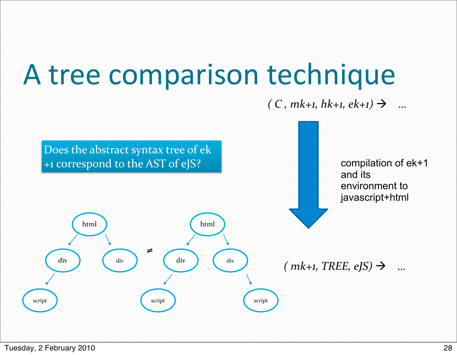